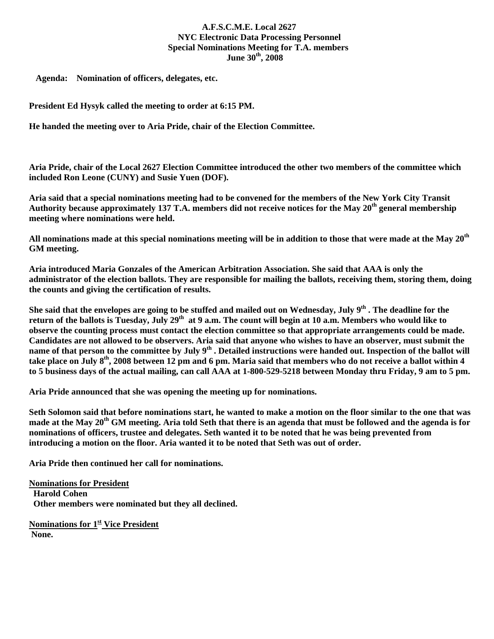## **A.F.S.C.M.E. Local 2627 NYC Electronic Data Processing Personnel Special Nominations Meeting for T.A. members**  June 30<sup>th</sup>, 2008

 **Agenda: Nomination of officers, delegates, etc.** 

**President Ed Hysyk called the meeting to order at 6:15 PM.** 

**He handed the meeting over to Aria Pride, chair of the Election Committee.** 

**Aria Pride, chair of the Local 2627 Election Committee introduced the other two members of the committee which included Ron Leone (CUNY) and Susie Yuen (DOF).** 

**Aria said that a special nominations meeting had to be convened for the members of the New York City Transit**  Authority because approximately 137 T.A. members did not receive notices for the May 20<sup>th</sup> general membership **meeting where nominations were held.** 

**All nominations made at this special nominations meeting will be in addition to those that were made at the May 20th GM meeting.** 

**Aria introduced Maria Gonzales of the American Arbitration Association. She said that AAA is only the administrator of the election ballots. They are responsible for mailing the ballots, receiving them, storing them, doing the counts and giving the certification of results.** 

She said that the envelopes are going to be stuffed and mailed out on Wednesday, July 9<sup>th</sup>. The deadline for the return of the ballots is Tuesday, July 29<sup>th</sup> at 9 a.m. The count will begin at 10 a.m. Members who would like to **observe the counting process must contact the election committee so that appropriate arrangements could be made. Candidates are not allowed to be observers. Aria said that anyone who wishes to have an observer, must submit the name of that person to the committee by July 9th . Detailed instructions were handed out. Inspection of the ballot will take place on July 8th, 2008 between 12 pm and 6 pm. Maria said that members who do not receive a ballot within 4 to 5 business days of the actual mailing, can call AAA at 1-800-529-5218 between Monday thru Friday, 9 am to 5 pm.** 

**Aria Pride announced that she was opening the meeting up for nominations.** 

**Seth Solomon said that before nominations start, he wanted to make a motion on the floor similar to the one that was**  made at the May 20<sup>th</sup> GM meeting. Aria told Seth that there is an agenda that must be followed and the agenda is for **nominations of officers, trustee and delegates. Seth wanted it to be noted that he was being prevented from introducing a motion on the floor. Aria wanted it to be noted that Seth was out of order.** 

**Aria Pride then continued her call for nominations.** 

**Nominations for President Harold Cohen Other members were nominated but they all declined.** 

**Nominations for 1st Vice President None.**